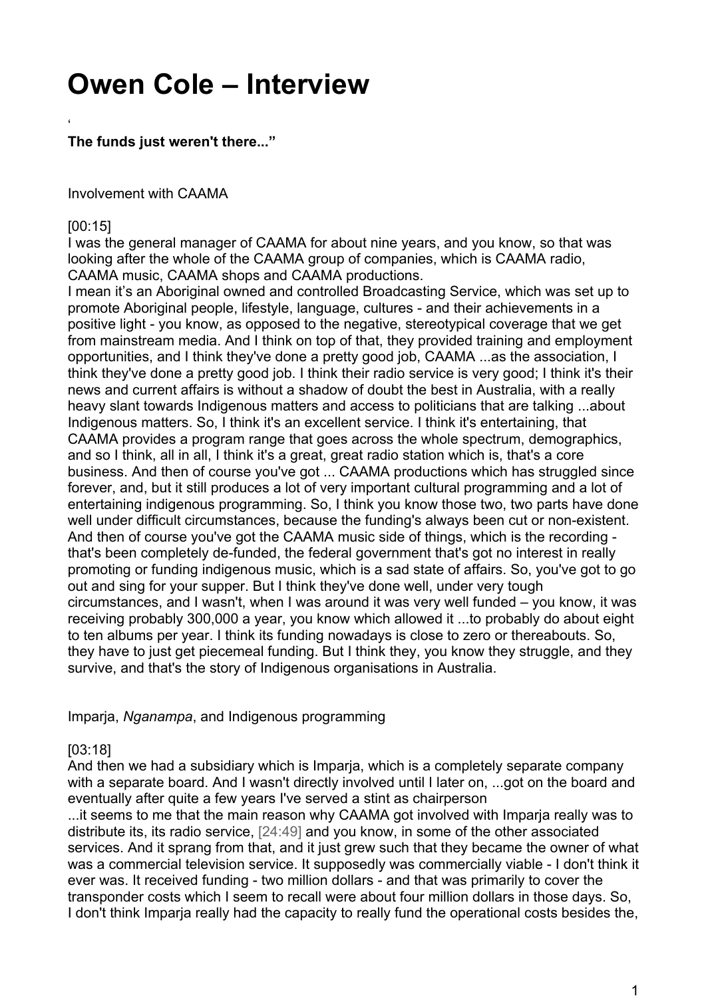# **Owen Cole – Interview**

#### ' **The funds just weren't there..."**

#### Involvement with CAAMA

## [00:15]

I was the general manager of CAAMA for about nine years, and you know, so that was looking after the whole of the CAAMA group of companies, which is CAAMA radio, CAAMA music, CAAMA shops and CAAMA productions.

I mean it's an Aboriginal owned and controlled Broadcasting Service, which was set up to promote Aboriginal people, lifestyle, language, cultures - and their achievements in a positive light - you know, as opposed to the negative, stereotypical coverage that we get from mainstream media. And I think on top of that, they provided training and employment opportunities, and I think they've done a pretty good job, CAAMA ...as the association, I think they've done a pretty good job. I think their radio service is very good; I think it's their news and current affairs is without a shadow of doubt the best in Australia, with a really heavy slant towards Indigenous matters and access to politicians that are talking ...about Indigenous matters. So, I think it's an excellent service. I think it's entertaining, that CAAMA provides a program range that goes across the whole spectrum, demographics, and so I think, all in all, I think it's a great, great radio station which is, that's a core business. And then of course you've got ... CAAMA productions which has struggled since forever, and, but it still produces a lot of very important cultural programming and a lot of entertaining indigenous programming. So, I think you know those two, two parts have done well under difficult circumstances, because the funding's always been cut or non-existent. And then of course you've got the CAAMA music side of things, which is the recording that's been completely de-funded, the federal government that's got no interest in really promoting or funding indigenous music, which is a sad state of affairs. So, you've got to go out and sing for your supper. But I think they've done well, under very tough circumstances, and I wasn't, when I was around it was very well funded – you know, it was receiving probably 300,000 a year, you know which allowed it ...to probably do about eight to ten albums per year. I think its funding nowadays is close to zero or thereabouts. So, they have to just get piecemeal funding. But I think they, you know they struggle, and they survive, and that's the story of Indigenous organisations in Australia.

Imparja, *Nganampa*, and Indigenous programming

### [03:18]

And then we had a subsidiary which is Imparja, which is a completely separate company with a separate board. And I wasn't directly involved until I later on, ...got on the board and eventually after quite a few years I've served a stint as chairperson

...it seems to me that the main reason why CAAMA got involved with Imparja really was to distribute its, its radio service, [24:49] and you know, in some of the other associated services. And it sprang from that, and it just grew such that they became the owner of what was a commercial television service. It supposedly was commercially viable - I don't think it ever was. It received funding - two million dollars - and that was primarily to cover the transponder costs which I seem to recall were about four million dollars in those days. So, I don't think Imparja really had the capacity to really fund the operational costs besides the,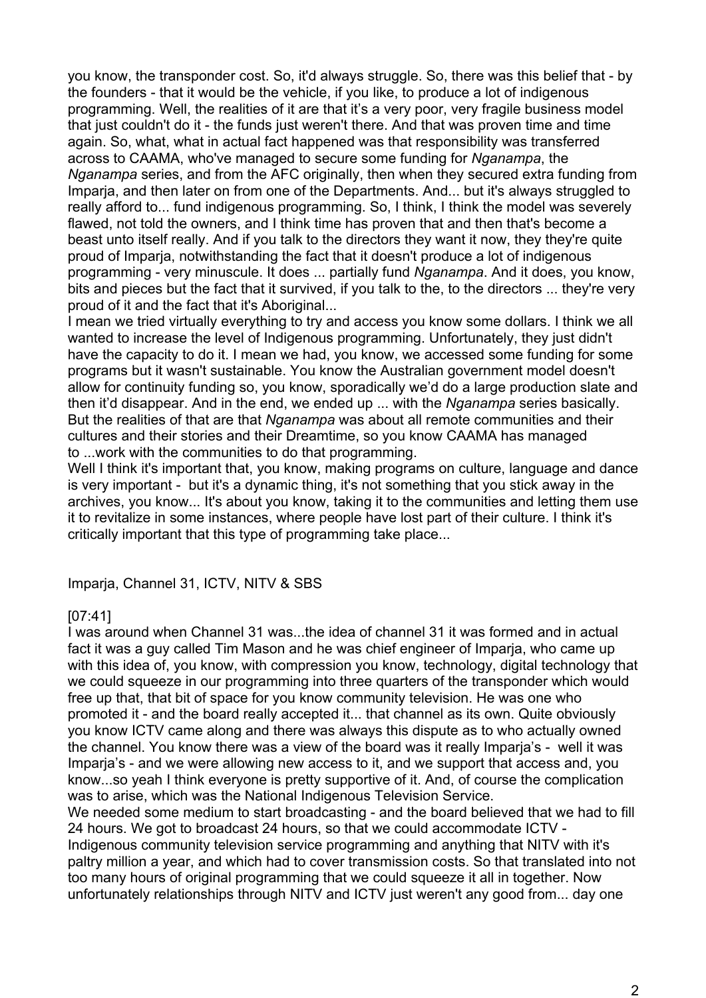you know, the transponder cost. So, it'd always struggle. So, there was this belief that - by the founders - that it would be the vehicle, if you like, to produce a lot of indigenous programming. Well, the realities of it are that it's a very poor, very fragile business model that just couldn't do it - the funds just weren't there. And that was proven time and time again. So, what, what in actual fact happened was that responsibility was transferred across to CAAMA, who've managed to secure some funding for *Nganampa*, the *Nganampa* series, and from the AFC originally, then when they secured extra funding from Imparja, and then later on from one of the Departments. And... but it's always struggled to really afford to... fund indigenous programming. So, I think, I think the model was severely flawed, not told the owners, and I think time has proven that and then that's become a beast unto itself really. And if you talk to the directors they want it now, they they're quite proud of Imparja, notwithstanding the fact that it doesn't produce a lot of indigenous programming - very minuscule. It does ... partially fund *Nganampa*. And it does, you know, bits and pieces but the fact that it survived, if you talk to the, to the directors ... they're very proud of it and the fact that it's Aboriginal...

I mean we tried virtually everything to try and access you know some dollars. I think we all wanted to increase the level of Indigenous programming. Unfortunately, they just didn't have the capacity to do it. I mean we had, you know, we accessed some funding for some programs but it wasn't sustainable. You know the Australian government model doesn't allow for continuity funding so, you know, sporadically we'd do a large production slate and then it'd disappear. And in the end, we ended up ... with the *Nganampa* series basically. But the realities of that are that *Nganampa* was about all remote communities and their cultures and their stories and their Dreamtime, so you know CAAMA has managed to ...work with the communities to do that programming.

Well I think it's important that, you know, making programs on culture, language and dance is very important - but it's a dynamic thing, it's not something that you stick away in the archives, you know... It's about you know, taking it to the communities and letting them use it to revitalize in some instances, where people have lost part of their culture. I think it's critically important that this type of programming take place...

Imparja, Channel 31, ICTV, NITV & SBS

# [07:41]

I was around when Channel 31 was...the idea of channel 31 it was formed and in actual fact it was a guy called Tim Mason and he was chief engineer of Imparja, who came up with this idea of, you know, with compression you know, technology, digital technology that we could squeeze in our programming into three quarters of the transponder which would free up that, that bit of space for you know community television. He was one who promoted it - and the board really accepted it... that channel as its own. Quite obviously you know ICTV came along and there was always this dispute as to who actually owned the channel. You know there was a view of the board was it really Imparja's - well it was Imparja's - and we were allowing new access to it, and we support that access and, you know...so yeah I think everyone is pretty supportive of it. And, of course the complication was to arise, which was the National Indigenous Television Service.

We needed some medium to start broadcasting - and the board believed that we had to fill 24 hours. We got to broadcast 24 hours, so that we could accommodate ICTV - Indigenous community television service programming and anything that NITV with it's paltry million a year, and which had to cover transmission costs. So that translated into not too many hours of original programming that we could squeeze it all in together. Now unfortunately relationships through NITV and ICTV just weren't any good from... day one